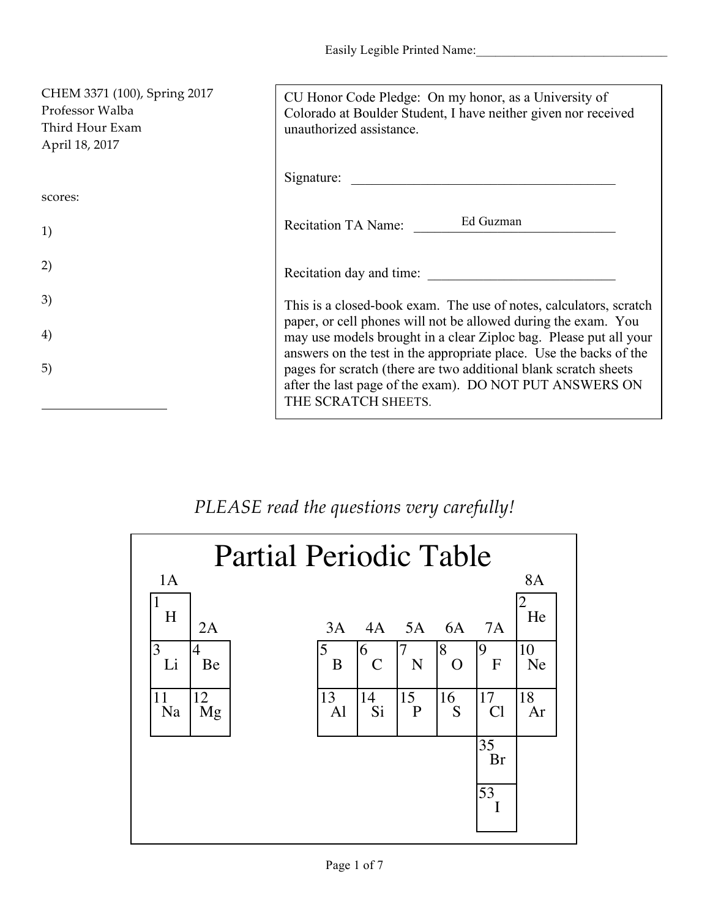Easily Legible Printed Name:

| CHEM 3371 (100), Spring 2017<br>Professor Walba<br>Third Hour Exam<br>April 18, 2017 | CU Honor Code Pledge: On my honor, as a University of<br>Colorado at Boulder Student, I have neither given nor received<br>unauthorized assistance.                                                       |
|--------------------------------------------------------------------------------------|-----------------------------------------------------------------------------------------------------------------------------------------------------------------------------------------------------------|
|                                                                                      | Signature:                                                                                                                                                                                                |
| scores:                                                                              |                                                                                                                                                                                                           |
| 1)                                                                                   | Ed Guzman<br><b>Recitation TA Name:</b>                                                                                                                                                                   |
| 2)                                                                                   | Recitation day and time:                                                                                                                                                                                  |
| 3)                                                                                   | This is a closed-book exam. The use of notes, calculators, scratch                                                                                                                                        |
| 4)                                                                                   | paper, or cell phones will not be allowed during the exam. You<br>may use models brought in a clear Ziploc bag. Please put all your<br>answers on the test in the appropriate place. Use the backs of the |
| 5)                                                                                   | pages for scratch (there are two additional blank scratch sheets<br>after the last page of the exam). DO NOT PUT ANSWERS ON<br>THE SCRATCH SHEETS.                                                        |

## *PLEASE read the questions very carefully!*

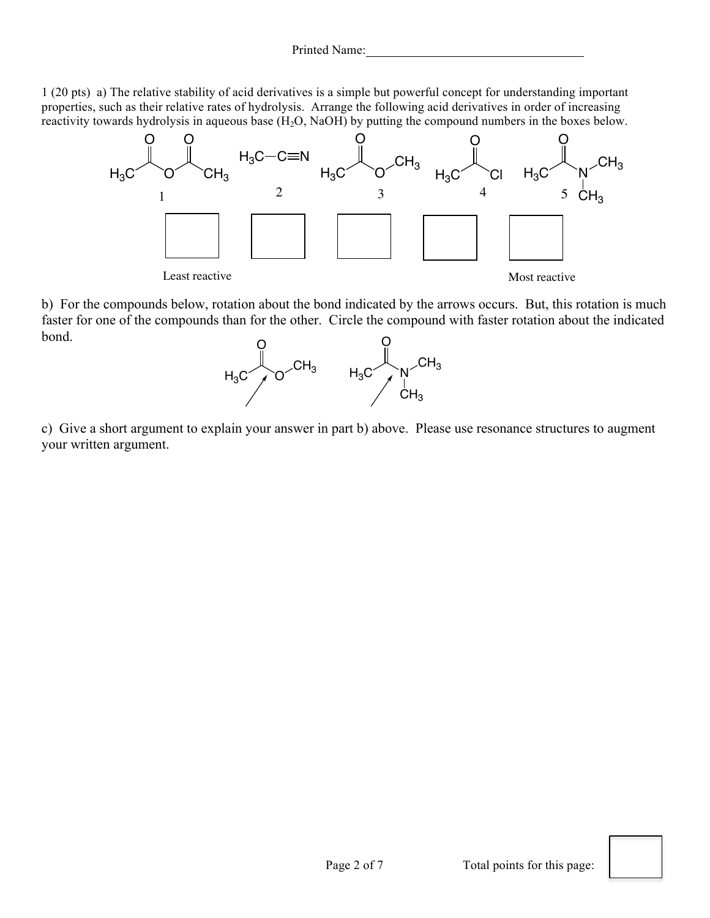1 (20 pts) a) The relative stability of acid derivatives is a simple but powerful concept for understanding important properties, such as their relative rates of hydrolysis. Arrange the following acid derivatives in order of increasing reactivity towards hydrolysis in aqueous base  $(H_2O, NaOH)$  by putting the compound numbers in the boxes below.



b) For the compounds below, rotation about the bond indicated by the arrows occurs. But, this rotation is much faster for one of the compounds than for the other. Circle the compound with faster rotation about the indicated bond.



c) Give a short argument to explain your answer in part b) above. Please use resonance structures to augment your written argument.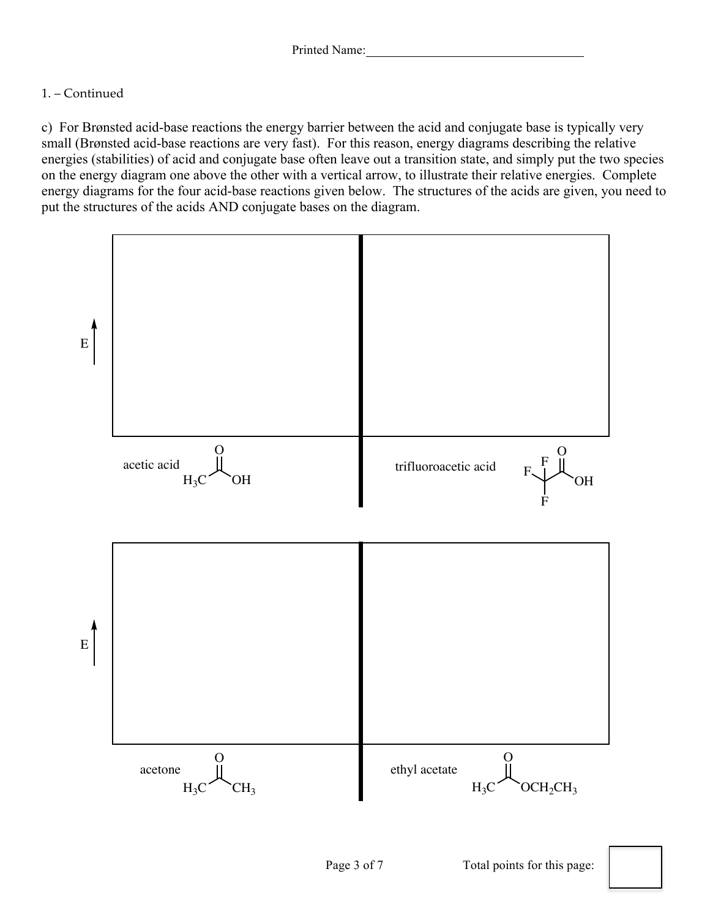## 1. – Continued

c) For Brønsted acid-base reactions the energy barrier between the acid and conjugate base is typically very small (Brønsted acid-base reactions are very fast). For this reason, energy diagrams describing the relative energies (stabilities) of acid and conjugate base often leave out a transition state, and simply put the two species on the energy diagram one above the other with a vertical arrow, to illustrate their relative energies. Complete energy diagrams for the four acid-base reactions given below. The structures of the acids are given, you need to put the structures of the acids AND conjugate bases on the diagram.

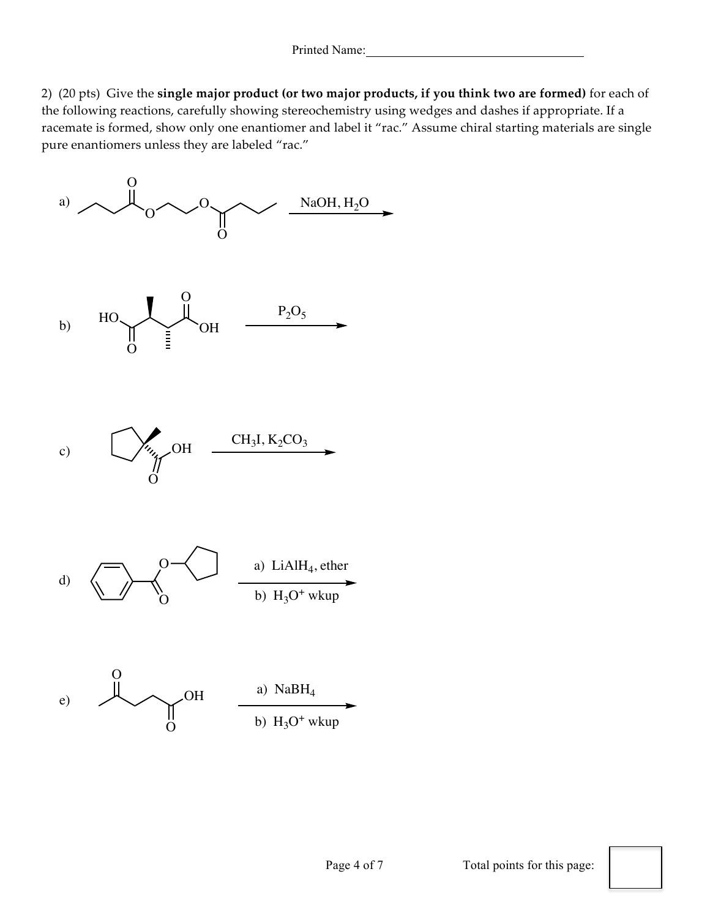2) (20 pts) Give the **single major product (or two major products, if you think two are formed)** for each of the following reactions, carefully showing stereochemistry using wedges and dashes if appropriate. If a racemate is formed, show only one enantiomer and label it "rac." Assume chiral starting materials are single pure enantiomers unless they are labeled "rac."

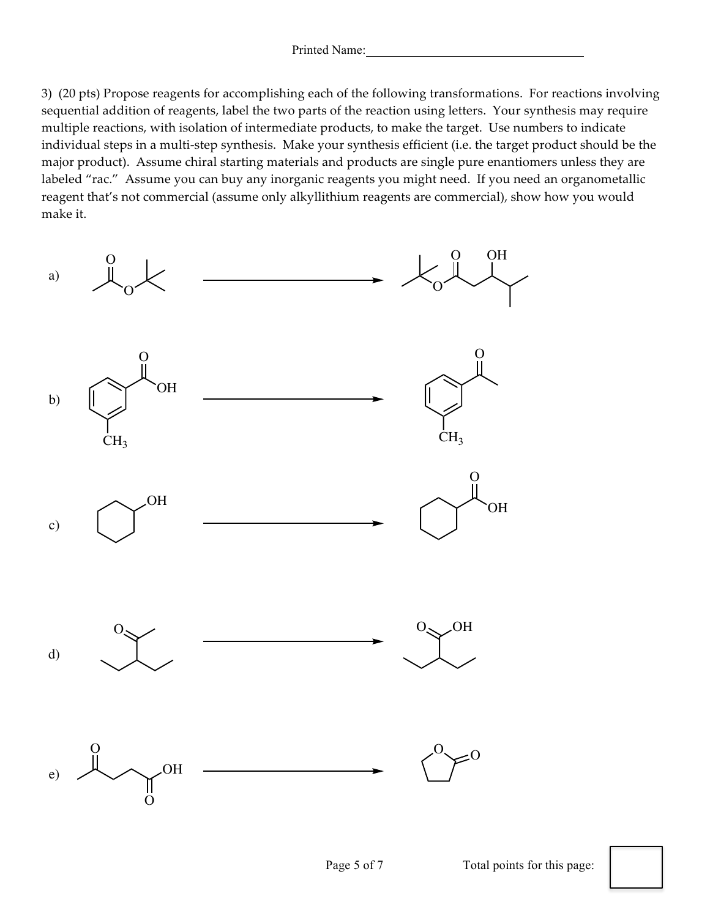3) (20 pts) Propose reagents for accomplishing each of the following transformations. For reactions involving sequential addition of reagents, label the two parts of the reaction using letters. Your synthesis may require multiple reactions, with isolation of intermediate products, to make the target. Use numbers to indicate individual steps in a multi-step synthesis. Make your synthesis efficient (i.e. the target product should be the major product). Assume chiral starting materials and products are single pure enantiomers unless they are labeled "rac." Assume you can buy any inorganic reagents you might need. If you need an organometallic reagent that's not commercial (assume only alkyllithium reagents are commercial), show how you would make it.

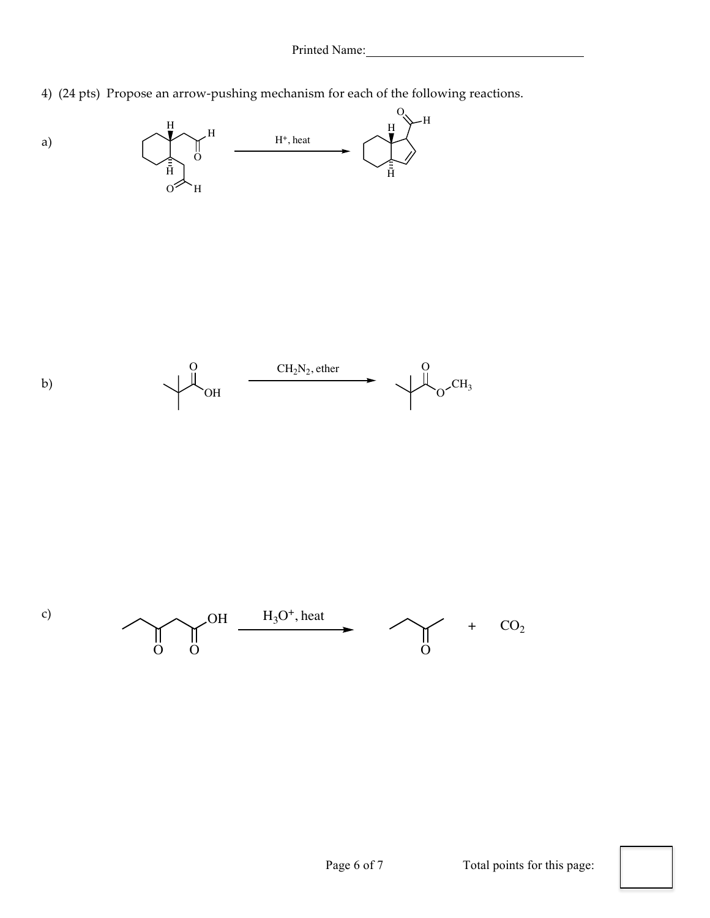4) (24 pts) Propose an arrow-pushing mechanism for each of the following reactions.